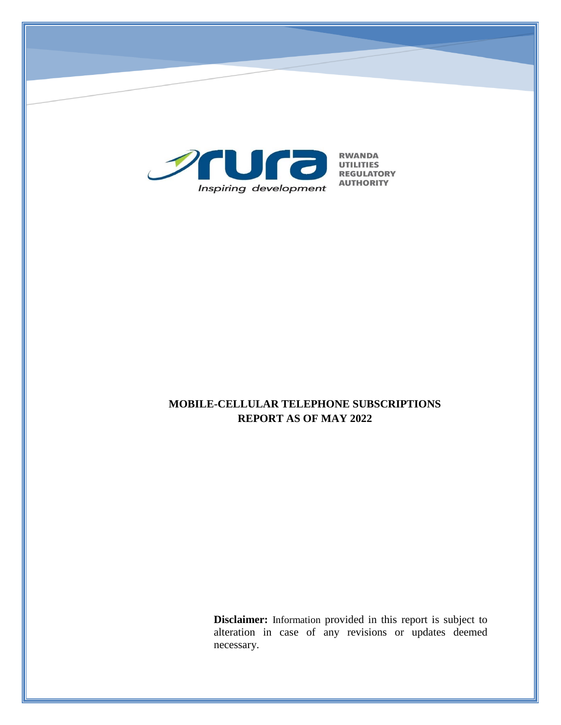

# **MOBILE-CELLULAR TELEPHONE SUBSCRIPTIONS REPORT AS OF MAY 2022**

**Disclaimer:** Information provided in this report is subject to alteration in case of any revisions or updates deemed necessary.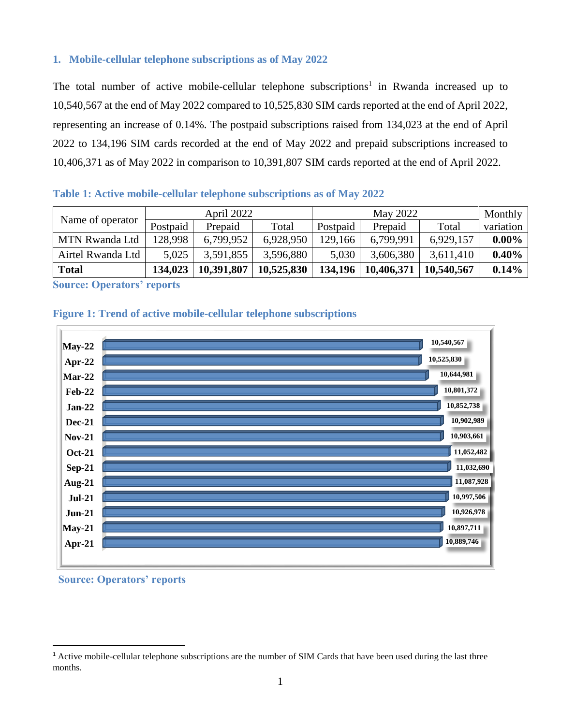### **1. Mobile-cellular telephone subscriptions as of May 2022**

The total number of active mobile-cellular telephone subscriptions<sup>1</sup> in Rwanda increased up to 10,540,567 at the end of May 2022 compared to 10,525,830 SIM cards reported at the end of April 2022, representing an increase of 0.14%. The postpaid subscriptions raised from 134,023 at the end of April 2022 to 134,196 SIM cards recorded at the end of May 2022 and prepaid subscriptions increased to 10,406,371 as of May 2022 in comparison to 10,391,807 SIM cards reported at the end of April 2022.

| Table 1: Active mobile-cellular telephone subscriptions as of May 2022 |  |  |
|------------------------------------------------------------------------|--|--|
|------------------------------------------------------------------------|--|--|

|                       | April 2022 |            | May 2022   |          |            | Monthly    |           |
|-----------------------|------------|------------|------------|----------|------------|------------|-----------|
| Name of operator      | Postpaid   | Prepaid    | Total      | Postpaid | Prepaid    | Total      | variation |
| <b>MTN Rwanda Ltd</b> | 128.998    | 6,799,952  | 6,928,950  | 129,166  | 6,799,991  | 6,929,157  | $0.00\%$  |
| Airtel Rwanda Ltd     | 5,025      | 3,591,855  | 3,596,880  | 5,030    | 3,606,380  | 3,611,410  | 0.40%     |
| <b>Total</b>          | 134,023    | 10,391,807 | 10,525,830 | 134,196  | 10,406,371 | 10,540,567 | 0.14%     |

**Source: Operators' reports**





#### **Source: Operators' reports**

 $\overline{a}$ 

<sup>&</sup>lt;sup>1</sup> Active mobile-cellular telephone subscriptions are the number of SIM Cards that have been used during the last three months.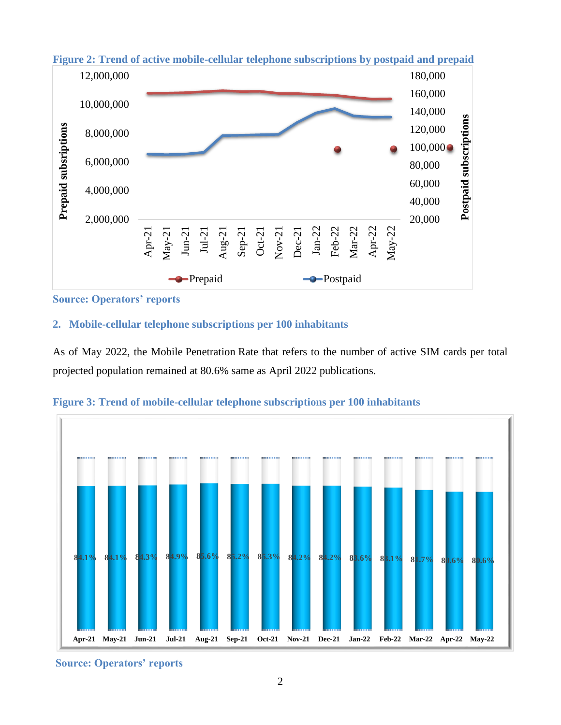

# **Figure 2: Trend of active mobile-cellular telephone subscriptions by postpaid and prepaid**

**Source: Operators' reports**

## **2. Mobile-cellular telephone subscriptions per 100 inhabitants**

As of May 2022, the Mobile Penetration Rate that refers to the number of active SIM cards per total projected population remained at 80.6% same as April 2022 publications.



**Figure 3: Trend of mobile-cellular telephone subscriptions per 100 inhabitants**

**Source: Operators' reports**